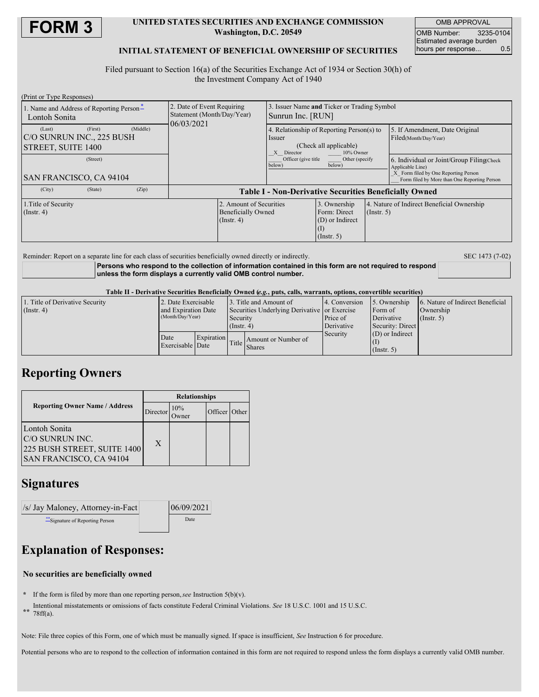

#### **UNITED STATES SECURITIES AND EXCHANGE COMMISSION Washington, D.C. 20549**

OMB APPROVAL OMB Number: 3235-0104 Estimated average burden hours per response... 0.5

## **INITIAL STATEMENT OF BENEFICIAL OWNERSHIP OF SECURITIES**

Filed pursuant to Section 16(a) of the Securities Exchange Act of 1934 or Section 30(h) of the Investment Company Act of 1940

| (Print or Type Responses)                                                               |                                                                          |                                                                                                          |                                                                     |                  |                                                                                                                                                        |  |
|-----------------------------------------------------------------------------------------|--------------------------------------------------------------------------|----------------------------------------------------------------------------------------------------------|---------------------------------------------------------------------|------------------|--------------------------------------------------------------------------------------------------------------------------------------------------------|--|
| 1. Name and Address of Reporting Person-<br>Lontoh Sonita                               | 2. Date of Event Requiring<br>Statement (Month/Day/Year)<br>06/03/2021   | 3. Issuer Name and Ticker or Trading Symbol<br>Sunrun Inc. [RUN]                                         |                                                                     |                  |                                                                                                                                                        |  |
| (First)<br>(Middle)<br>(Last)<br>C/O SUNRUN INC., 225 BUSH<br><b>STREET, SUITE 1400</b> |                                                                          | 4. Relationship of Reporting Person(s) to<br>Issuer<br>(Check all applicable)<br>X Director<br>10% Owner |                                                                     |                  | 5. If Amendment, Date Original<br>Filed(Month/Day/Year)                                                                                                |  |
| (Street)<br><b>SAN FRANCISCO, CA 94104</b>                                              |                                                                          | Officer (give title)<br>Other (specify)<br>below)<br>below)                                              |                                                                     |                  | 6. Individual or Joint/Group Filing(Check)<br>Applicable Line)<br>X Form filed by One Reporting Person<br>Form filed by More than One Reporting Person |  |
| (Zip)<br>(City)<br>(State)                                                              |                                                                          | <b>Table I - Non-Derivative Securities Beneficially Owned</b>                                            |                                                                     |                  |                                                                                                                                                        |  |
| 1. Title of Security<br>$($ Instr. 4 $)$                                                | 2. Amount of Securities<br><b>Beneficially Owned</b><br>$($ Instr. 4 $)$ |                                                                                                          | 3. Ownership<br>Form: Direct<br>(D) or Indirect<br>$($ Instr. 5 $)$ | $($ Instr. 5 $)$ | 4. Nature of Indirect Beneficial Ownership                                                                                                             |  |

Reminder: Report on a separate line for each class of securities beneficially owned directly or indirectly. SEC 1473 (7-02)

**Persons who respond to the collection of information contained in this form are not required to respond unless the form displays a currently valid OMB control number.**

Table II - Derivative Securities Beneficially Owned (e.g., puts, calls, warrants, options, convertible securities)

| 1. Title of Derivative Security | 2. Date Exercisable                     |            |                                                                           | 3. Title and Amount of | 14. Conversion | 5. Ownership      | 6. Nature of Indirect Beneficial |  |
|---------------------------------|-----------------------------------------|------------|---------------------------------------------------------------------------|------------------------|----------------|-------------------|----------------------------------|--|
| $($ Instr. 4 $)$                | and Expiration Date<br>(Month/Day/Year) |            | Securities Underlying Derivative or Exercise<br>Security<br>$($ Instr. 4) |                        |                | Form of           | Ownership                        |  |
|                                 |                                         |            |                                                                           |                        | Price of       | Derivative        | $($ Instr. 5 $)$                 |  |
|                                 |                                         |            |                                                                           |                        | Derivative     | Security: Direct  |                                  |  |
|                                 | Date                                    | Expiration |                                                                           |                        | Security       | $(D)$ or Indirect |                                  |  |
|                                 | Exercisable Date                        |            | Title                                                                     | Amount or Number of    |                |                   |                                  |  |
|                                 |                                         |            |                                                                           | <b>Shares</b>          |                | (Insert, 5)       |                                  |  |

## **Reporting Owners**

|                                                                                             | <b>Relationships</b> |     |               |  |  |
|---------------------------------------------------------------------------------------------|----------------------|-----|---------------|--|--|
| <b>Reporting Owner Name / Address</b>                                                       | Director             | 10% | Officer Other |  |  |
| Lontoh Sonita<br>IC/O SUNRUN INC.<br>225 BUSH STREET, SUITE 1400<br>SAN FRANCISCO, CA 94104 | $\mathbf{X}$         |     |               |  |  |

## **Signatures**

| $\sqrt{s}$ Jay Maloney, Attorney-in-Fact | 06/09/2021 |  |
|------------------------------------------|------------|--|
| <i>i</i> Signature of Reporting Person   | Date       |  |

# **Explanation of Responses:**

## **No securities are beneficially owned**

- **\*** If the form is filed by more than one reporting person,*see* Instruction 5(b)(v).
- **\*\*** Intentional misstatements or omissions of facts constitute Federal Criminal Violations. *See* 18 U.S.C. 1001 and 15 U.S.C. 78ff(a).
- Note: File three copies of this Form, one of which must be manually signed. If space is insufficient, *See* Instruction 6 for procedure.

Potential persons who are to respond to the collection of information contained in this form are not required to respond unless the form displays a currently valid OMB number.